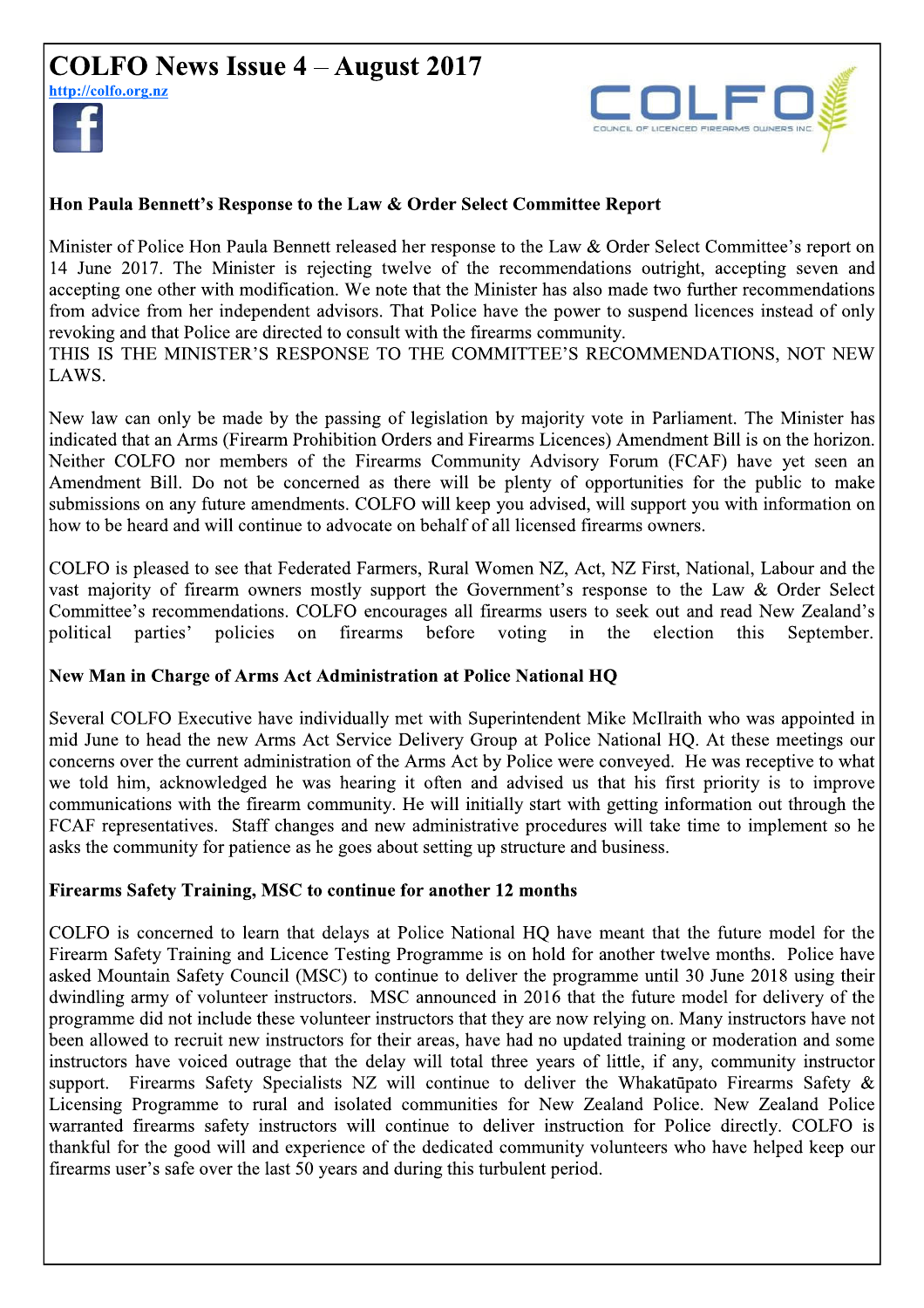# **COLFO News Issue 4 – August 2017**

http://colfo.org.nz



LAWS.



#### Hon Paula Bennett's Response to the Law & Order Select Committee Report

Minister of Police Hon Paula Bennett released her response to the Law & Order Select Committee's report on 14 June 2017. The Minister is rejecting twelve of the recommendations outright, accepting seven and accepting one other with modification. We note that the Minister has also made two further recommendations from advice from her independent advisors. That Police have the power to suspend licences instead of only revoking and that Police are directed to consult with the firearms community. THIS IS THE MINISTER'S RESPONSE TO THE COMMITTEE'S RECOMMENDATIONS, NOT NEW

New law can only be made by the passing of legislation by majority vote in Parliament. The Minister has indicated that an Arms (Firearm Prohibition Orders and Firearms Licences) Amendment Bill is on the horizon. Neither COLFO nor members of the Firearms Community Advisory Forum (FCAF) have yet seen an Amendment Bill. Do not be concerned as there will be plenty of opportunities for the public to make submissions on any future amendments. COLFO will keep you advised, will support you with information on how to be heard and will continue to advocate on behalf of all licensed firearms owners.

COLFO is pleased to see that Federated Farmers, Rural Women NZ, Act, NZ First, National, Labour and the vast majority of firearm owners mostly support the Government's response to the Law & Order Select Committee's recommendations. COLFO encourages all firearms users to seek out and read New Zealand's political parties' policies  $\alpha$ firearms before voting  $in$ election this September. the

#### New Man in Charge of Arms Act Administration at Police National HQ

Several COLFO Executive have individually met with Superintendent Mike McIlraith who was appointed in mid June to head the new Arms Act Service Delivery Group at Police National HO. At these meetings our concerns over the current administration of the Arms Act by Police were conveyed. He was receptive to what we told him, acknowledged he was hearing it often and advised us that his first priority is to improve communications with the firearm community. He will initially start with getting information out through the FCAF representatives. Staff changes and new administrative procedures will take time to implement so he asks the community for patience as he goes about setting up structure and business.

#### Firearms Safety Training, MSC to continue for another 12 months

COLFO is concerned to learn that delays at Police National HO have meant that the future model for the Firearm Safety Training and Licence Testing Programme is on hold for another twelve months. Police have asked Mountain Safety Council (MSC) to continue to deliver the programme until 30 June 2018 using their dwindling army of volunteer instructors. MSC announced in 2016 that the future model for delivery of the programme did not include these volunteer instructors that they are now relying on. Many instructors have not been allowed to recruit new instructors for their areas, have had no updated training or moderation and some instructors have voiced outrage that the delay will total three years of little, if any, community instructor Firearms Safety Specialists NZ will continue to deliver the Whakatupato Firearms Safety & support. Licensing Programme to rural and isolated communities for New Zealand Police. New Zealand Police warranted firearms safety instructors will continue to deliver instruction for Police directly. COLFO is thankful for the good will and experience of the dedicated community volunteers who have helped keep our firearms user's safe over the last 50 years and during this turbulent period.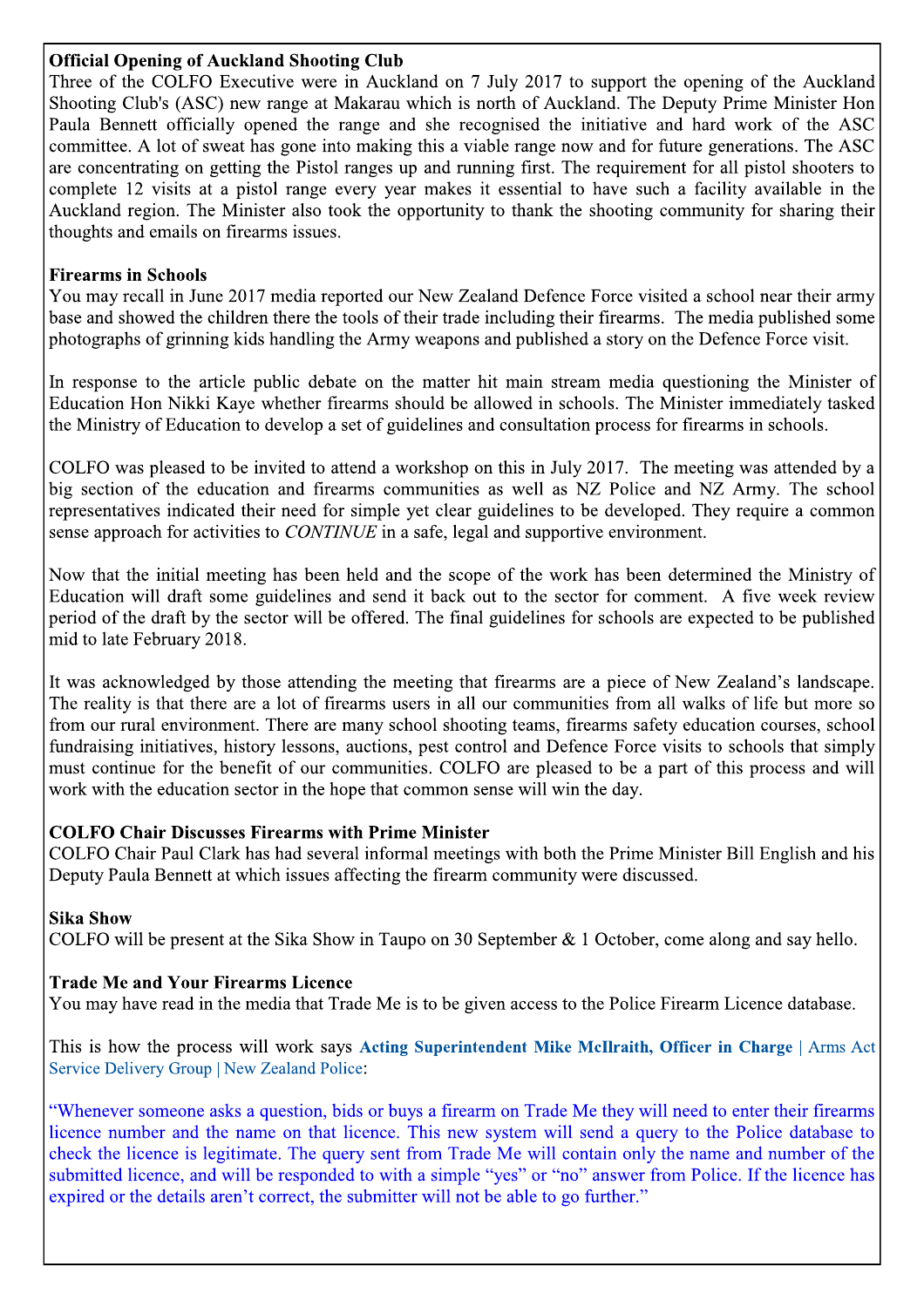## Official Opening of Auckland Shooting (

**Official Opening of Auckland Shooting Club**<br>Three of the COLFO Executive were in Auckland on 7 July 2017 to support the opening of the Auckland<br>Shooting Club's (ASC) new range at Makarau which is north of Auckland. The De Paula Bennett officially opened the range and she recognised the initiative and for flure generations. The ASC<br>
committee. A lot of sweat has gone into making this a viable range now and for future generations. The ASC<br>
c

## Firearms in

threatms in Schools<br>
You may recall in June 2017 media reported our New Zealand Defence Force visited a school near their army<br>
brows and showed the children there the tools of their trade including their firearms. The med You may recall in June 2017 media reported our New Zealand Defence Force visited a school near their tramperation there his tools of their trade including their marms. Then media published some<br>photographs of griming kids

Education Hon Nikki Kaye whether firearms should be allowed in schools. The Minister immediately tasked<br>the Ministry of Education to develop a set of guidelines and consultation process for firearms in schools.<br>COLFO was p sense approach for activities to *CONTINUE* in a safe, legal and supportive environment.<br>
Now that the initial meeting has been held and the scope of the work has been determined the Ministry of<br>
Education will draft some It was acknowledged by those attending the meeting that firearms are a piece of New Zealand's landscape.<br>The reality is that there are al ot of firearms users in all our communities from all walks of life but more so<br>fundr

## COLFO Chair Discusses Firearms with Prime Minist

must continue for the benefit of our communities. COLFO are pleased to be a part of this process and will<br>work with the education sector in the hope that common sense will win the day.<br>COLFO Chair Piscusses Firearms with P

Sika Show<br>COLFO will be present at the Sika Show in Taupo on 30 September & 1 October, come along and say hello.

## Trade Me and Your Firearms Licence

You may have read in the media that Trade Me is to be given access to the Police Firearm Licence database.

 $\mathbb{L}$ ng Superintendent Mike McIlraith, Officer in Charge

Deputy Paula Bennett at which issues affecting the fired<br>
Sika Show<br>
COLFO will be present at the Sika Show in Taupo on 3<br>
Trade Me and Your Firearms Licence<br>
You may have read in the media that Trade Me is to be<br>
This is **Sika Show**<br> **COLFO** will be present at the Sika Show in Taupo on 30 September & 1 October, come along and say hello.<br> **Trade Me and Your Firearms Licence**<br>
You may have read in the media that Trade Me is to be given acce Trade Me and Your Firearms Licence<br>
You may have read in the media that Trade Me is to be given access to the Police Firearm Licence database.<br>
This is how the process will work says Acting Superintendent Mike MeIlraith,